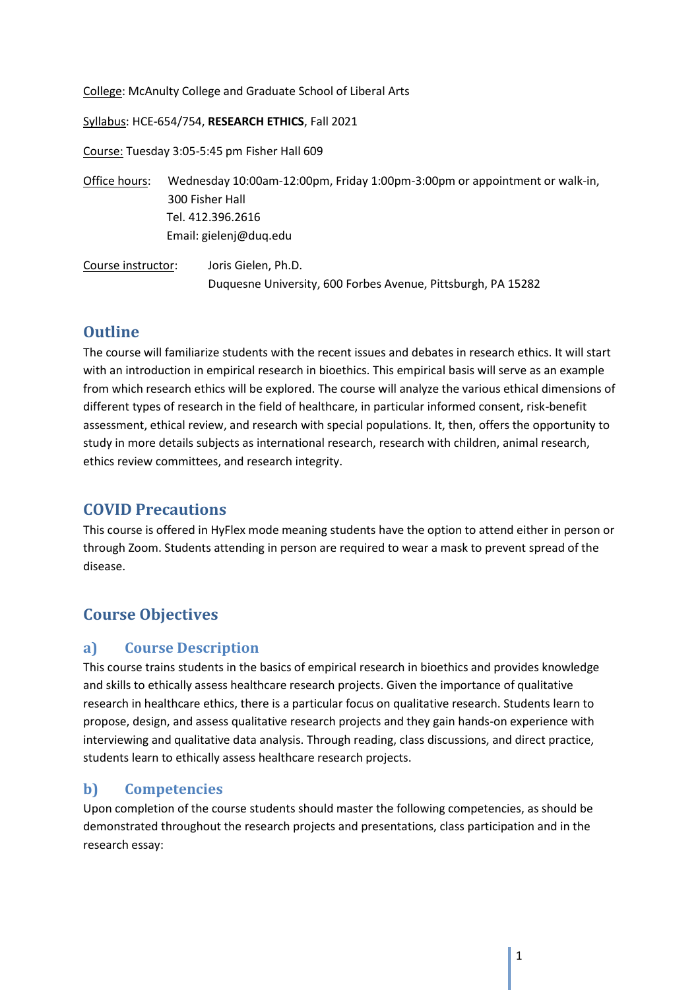College: McAnulty College and Graduate School of Liberal Arts

Syllabus: HCE-654/754, **RESEARCH ETHICS**, Fall 2021

Course: Tuesday 3:05-5:45 pm Fisher Hall 609

Office hours: Wednesday 10:00am-12:00pm, Friday 1:00pm-3:00pm or appointment or walk-in, 300 Fisher Hall Tel. 412.396.2616 Email: gielenj@duq.edu

Course instructor: Joris Gielen, Ph.D. Duquesne University, 600 Forbes Avenue, Pittsburgh, PA 15282

# **Outline**

The course will familiarize students with the recent issues and debates in research ethics. It will start with an introduction in empirical research in bioethics. This empirical basis will serve as an example from which research ethics will be explored. The course will analyze the various ethical dimensions of different types of research in the field of healthcare, in particular informed consent, risk-benefit assessment, ethical review, and research with special populations. It, then, offers the opportunity to study in more details subjects as international research, research with children, animal research, ethics review committees, and research integrity.

# **COVID Precautions**

This course is offered in HyFlex mode meaning students have the option to attend either in person or through Zoom. Students attending in person are required to wear a mask to prevent spread of the disease.

# **Course Objectives**

## **a) Course Description**

This course trains students in the basics of empirical research in bioethics and provides knowledge and skills to ethically assess healthcare research projects. Given the importance of qualitative research in healthcare ethics, there is a particular focus on qualitative research. Students learn to propose, design, and assess qualitative research projects and they gain hands-on experience with interviewing and qualitative data analysis. Through reading, class discussions, and direct practice, students learn to ethically assess healthcare research projects.

## **b) Competencies**

Upon completion of the course students should master the following competencies, as should be demonstrated throughout the research projects and presentations, class participation and in the research essay: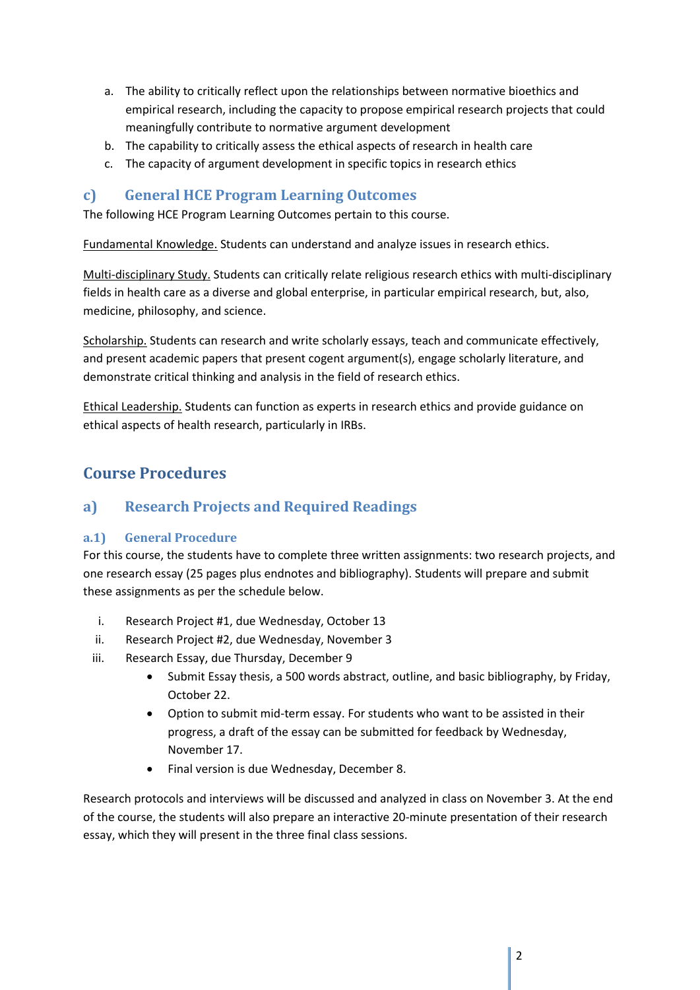- a. The ability to critically reflect upon the relationships between normative bioethics and empirical research, including the capacity to propose empirical research projects that could meaningfully contribute to normative argument development
- b. The capability to critically assess the ethical aspects of research in health care
- c. The capacity of argument development in specific topics in research ethics

## **c) General HCE Program Learning Outcomes**

The following HCE Program Learning Outcomes pertain to this course.

Fundamental Knowledge. Students can understand and analyze issues in research ethics.

Multi-disciplinary Study. Students can critically relate religious research ethics with multi-disciplinary fields in health care as a diverse and global enterprise, in particular empirical research, but, also, medicine, philosophy, and science.

Scholarship. Students can research and write scholarly essays, teach and communicate effectively, and present academic papers that present cogent argument(s), engage scholarly literature, and demonstrate critical thinking and analysis in the field of research ethics.

Ethical Leadership. Students can function as experts in research ethics and provide guidance on ethical aspects of health research, particularly in IRBs.

# **Course Procedures**

## **a) Research Projects and Required Readings**

## **a.1) General Procedure**

For this course, the students have to complete three written assignments: two research projects, and one research essay (25 pages plus endnotes and bibliography). Students will prepare and submit these assignments as per the schedule below.

- i. Research Project #1, due Wednesday, October 13
- ii. Research Project #2, due Wednesday, November 3
- iii. Research Essay, due Thursday, December 9
	- Submit Essay thesis, a 500 words abstract, outline, and basic bibliography, by Friday, October 22.
	- Option to submit mid-term essay. For students who want to be assisted in their progress, a draft of the essay can be submitted for feedback by Wednesday, November 17.
	- Final version is due Wednesday, December 8.

Research protocols and interviews will be discussed and analyzed in class on November 3. At the end of the course, the students will also prepare an interactive 20-minute presentation of their research essay, which they will present in the three final class sessions.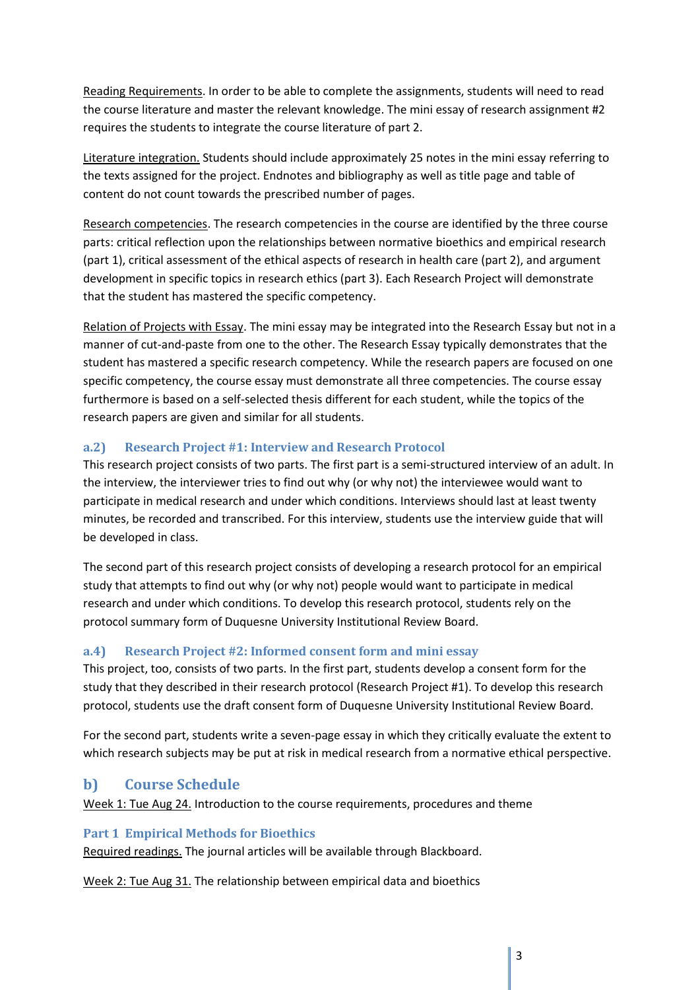Reading Requirements. In order to be able to complete the assignments, students will need to read the course literature and master the relevant knowledge. The mini essay of research assignment #2 requires the students to integrate the course literature of part 2.

Literature integration. Students should include approximately 25 notes in the mini essay referring to the texts assigned for the project. Endnotes and bibliography as well as title page and table of content do not count towards the prescribed number of pages.

Research competencies. The research competencies in the course are identified by the three course parts: critical reflection upon the relationships between normative bioethics and empirical research (part 1), critical assessment of the ethical aspects of research in health care (part 2), and argument development in specific topics in research ethics (part 3). Each Research Project will demonstrate that the student has mastered the specific competency.

Relation of Projects with Essay. The mini essay may be integrated into the Research Essay but not in a manner of cut-and-paste from one to the other. The Research Essay typically demonstrates that the student has mastered a specific research competency. While the research papers are focused on one specific competency, the course essay must demonstrate all three competencies. The course essay furthermore is based on a self-selected thesis different for each student, while the topics of the research papers are given and similar for all students.

## **a.2) Research Project #1: Interview and Research Protocol**

This research project consists of two parts. The first part is a semi-structured interview of an adult. In the interview, the interviewer tries to find out why (or why not) the interviewee would want to participate in medical research and under which conditions. Interviews should last at least twenty minutes, be recorded and transcribed. For this interview, students use the interview guide that will be developed in class.

The second part of this research project consists of developing a research protocol for an empirical study that attempts to find out why (or why not) people would want to participate in medical research and under which conditions. To develop this research protocol, students rely on the protocol summary form of Duquesne University Institutional Review Board.

## **a.4) Research Project #2: Informed consent form and mini essay**

This project, too, consists of two parts. In the first part, students develop a consent form for the study that they described in their research protocol (Research Project #1). To develop this research protocol, students use the draft consent form of Duquesne University Institutional Review Board.

For the second part, students write a seven-page essay in which they critically evaluate the extent to which research subjects may be put at risk in medical research from a normative ethical perspective.

# **b) Course Schedule**

Week 1: Tue Aug 24. Introduction to the course requirements, procedures and theme

## **Part 1 Empirical Methods for Bioethics**

Required readings. The journal articles will be available through Blackboard.

Week 2: Tue Aug 31. The relationship between empirical data and bioethics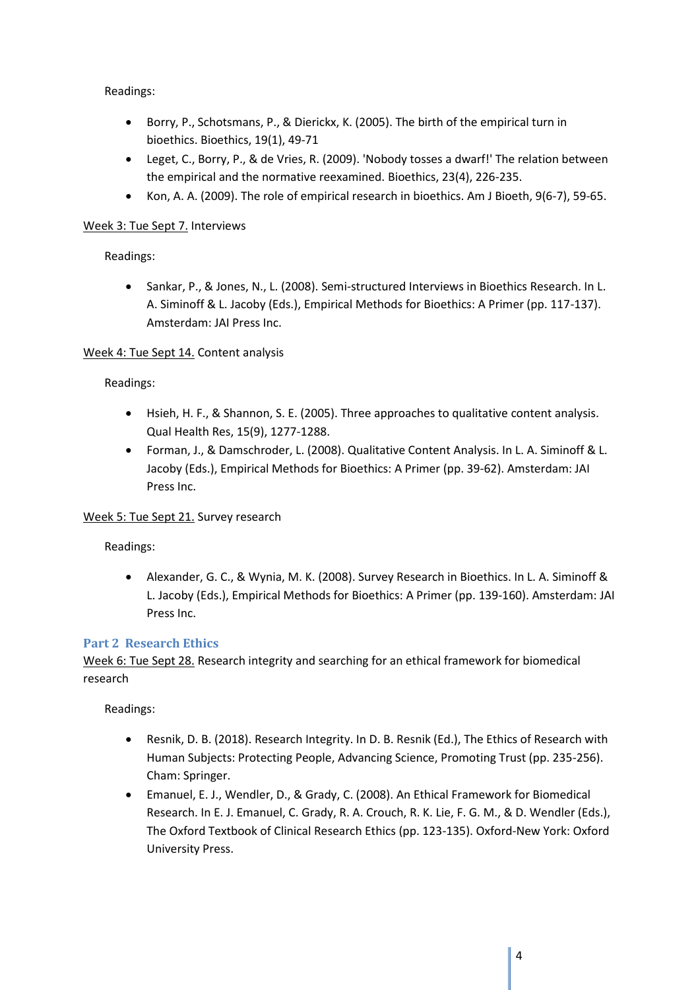Readings:

- Borry, P., Schotsmans, P., & Dierickx, K. (2005). The birth of the empirical turn in bioethics. Bioethics, 19(1), 49-71
- Leget, C., Borry, P., & de Vries, R. (2009). 'Nobody tosses a dwarf!' The relation between the empirical and the normative reexamined. Bioethics, 23(4), 226-235.
- Kon, A. A. (2009). The role of empirical research in bioethics. Am J Bioeth, 9(6-7), 59-65.

### Week 3: Tue Sept 7. Interviews

### Readings:

• Sankar, P., & Jones, N., L. (2008). Semi-structured Interviews in Bioethics Research. In L. A. Siminoff & L. Jacoby (Eds.), Empirical Methods for Bioethics: A Primer (pp. 117-137). Amsterdam: JAI Press Inc.

### Week 4: Tue Sept 14. Content analysis

### Readings:

- Hsieh, H. F., & Shannon, S. E. (2005). Three approaches to qualitative content analysis. Qual Health Res, 15(9), 1277-1288.
- Forman, J., & Damschroder, L. (2008). Qualitative Content Analysis. In L. A. Siminoff & L. Jacoby (Eds.), Empirical Methods for Bioethics: A Primer (pp. 39-62). Amsterdam: JAI Press Inc.

### Week 5: Tue Sept 21. Survey research

### Readings:

• Alexander, G. C., & Wynia, M. K. (2008). Survey Research in Bioethics. In L. A. Siminoff & L. Jacoby (Eds.), Empirical Methods for Bioethics: A Primer (pp. 139-160). Amsterdam: JAI Press Inc.

### **Part 2 Research Ethics**

Week 6: Tue Sept 28. Research integrity and searching for an ethical framework for biomedical research

Readings:

- Resnik, D. B. (2018). Research Integrity. In D. B. Resnik (Ed.), The Ethics of Research with Human Subjects: Protecting People, Advancing Science, Promoting Trust (pp. 235-256). Cham: Springer.
- Emanuel, E. J., Wendler, D., & Grady, C. (2008). An Ethical Framework for Biomedical Research. In E. J. Emanuel, C. Grady, R. A. Crouch, R. K. Lie, F. G. M., & D. Wendler (Eds.), The Oxford Textbook of Clinical Research Ethics (pp. 123-135). Oxford-New York: Oxford University Press.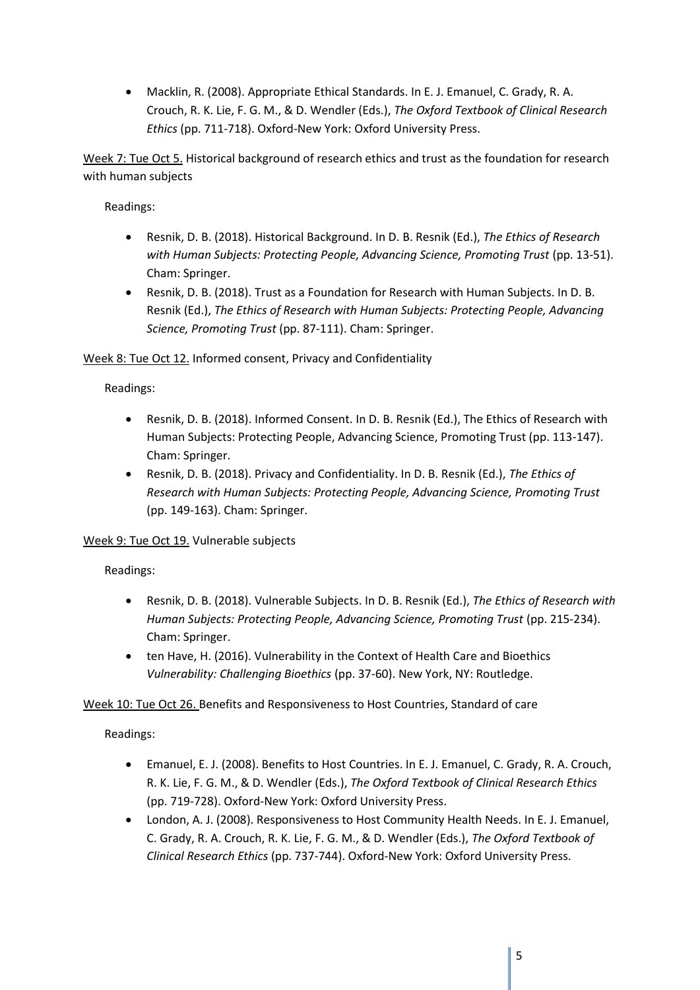• Macklin, R. (2008). Appropriate Ethical Standards. In E. J. Emanuel, C. Grady, R. A. Crouch, R. K. Lie, F. G. M., & D. Wendler (Eds.), *The Oxford Textbook of Clinical Research Ethics* (pp. 711-718). Oxford-New York: Oxford University Press.

Week 7: Tue Oct 5. Historical background of research ethics and trust as the foundation for research with human subjects

Readings:

- Resnik, D. B. (2018). Historical Background. In D. B. Resnik (Ed.), *The Ethics of Research with Human Subjects: Protecting People, Advancing Science, Promoting Trust* (pp. 13-51). Cham: Springer.
- Resnik, D. B. (2018). Trust as a Foundation for Research with Human Subjects. In D. B. Resnik (Ed.), *The Ethics of Research with Human Subjects: Protecting People, Advancing Science, Promoting Trust* (pp. 87-111). Cham: Springer.

Week 8: Tue Oct 12. Informed consent, Privacy and Confidentiality

Readings:

- Resnik, D. B. (2018). Informed Consent. In D. B. Resnik (Ed.), The Ethics of Research with Human Subjects: Protecting People, Advancing Science, Promoting Trust (pp. 113-147). Cham: Springer.
- Resnik, D. B. (2018). Privacy and Confidentiality. In D. B. Resnik (Ed.), *The Ethics of Research with Human Subjects: Protecting People, Advancing Science, Promoting Trust* (pp. 149-163). Cham: Springer.

Week 9: Tue Oct 19. Vulnerable subjects

Readings:

- Resnik, D. B. (2018). Vulnerable Subjects. In D. B. Resnik (Ed.), *The Ethics of Research with Human Subjects: Protecting People, Advancing Science, Promoting Trust* (pp. 215-234). Cham: Springer.
- ten Have, H. (2016). Vulnerability in the Context of Health Care and Bioethics *Vulnerability: Challenging Bioethics* (pp. 37-60). New York, NY: Routledge.

Week 10: Tue Oct 26. Benefits and Responsiveness to Host Countries, Standard of care

Readings:

- Emanuel, E. J. (2008). Benefits to Host Countries. In E. J. Emanuel, C. Grady, R. A. Crouch, R. K. Lie, F. G. M., & D. Wendler (Eds.), *The Oxford Textbook of Clinical Research Ethics* (pp. 719-728). Oxford-New York: Oxford University Press.
- London, A. J. (2008). Responsiveness to Host Community Health Needs. In E. J. Emanuel, C. Grady, R. A. Crouch, R. K. Lie, F. G. M., & D. Wendler (Eds.), *The Oxford Textbook of Clinical Research Ethics* (pp. 737-744). Oxford-New York: Oxford University Press.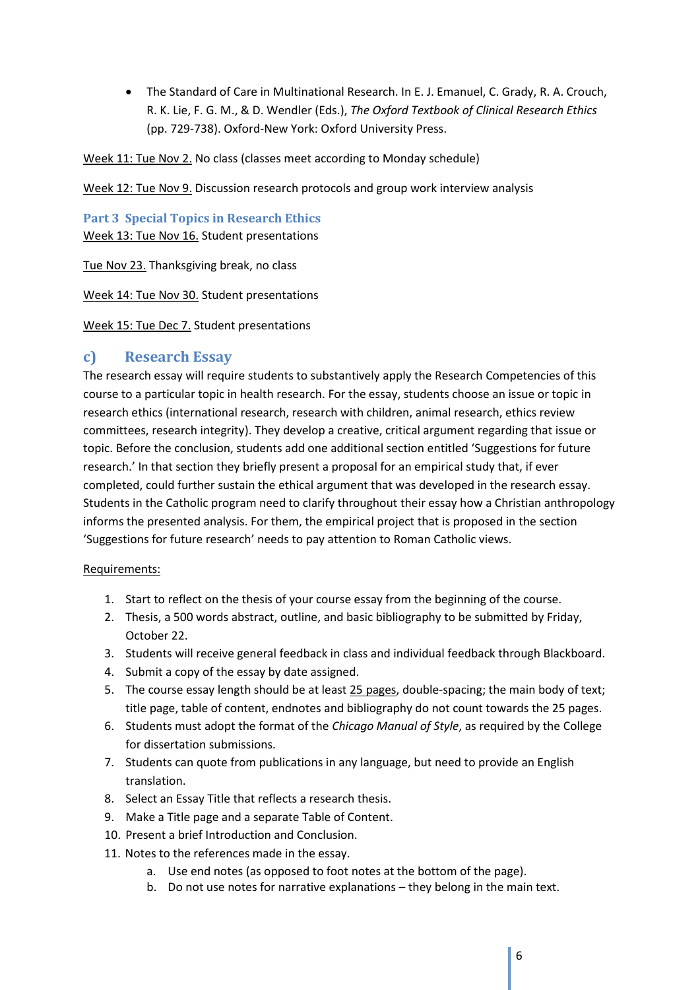• The Standard of Care in Multinational Research. In E. J. Emanuel, C. Grady, R. A. Crouch, R. K. Lie, F. G. M., & D. Wendler (Eds.), *The Oxford Textbook of Clinical Research Ethics* (pp. 729-738). Oxford-New York: Oxford University Press.

Week 11: Tue Nov 2. No class (classes meet according to Monday schedule)

Week 12: Tue Nov 9. Discussion research protocols and group work interview analysis

**Part 3 Special Topics in Research Ethics** Week 13: Tue Nov 16. Student presentations

Tue Nov 23. Thanksgiving break, no class

Week 14: Tue Nov 30. Student presentations

Week 15: Tue Dec 7. Student presentations

## **c) Research Essay**

The research essay will require students to substantively apply the Research Competencies of this course to a particular topic in health research. For the essay, students choose an issue or topic in research ethics (international research, research with children, animal research, ethics review committees, research integrity). They develop a creative, critical argument regarding that issue or topic. Before the conclusion, students add one additional section entitled 'Suggestions for future research.' In that section they briefly present a proposal for an empirical study that, if ever completed, could further sustain the ethical argument that was developed in the research essay. Students in the Catholic program need to clarify throughout their essay how a Christian anthropology informs the presented analysis. For them, the empirical project that is proposed in the section 'Suggestions for future research' needs to pay attention to Roman Catholic views.

#### Requirements:

- 1. Start to reflect on the thesis of your course essay from the beginning of the course.
- 2. Thesis, a 500 words abstract, outline, and basic bibliography to be submitted by Friday, October 22.
- 3. Students will receive general feedback in class and individual feedback through Blackboard.
- 4. Submit a copy of the essay by date assigned.
- 5. The course essay length should be at least 25 pages, double-spacing; the main body of text; title page, table of content, endnotes and bibliography do not count towards the 25 pages.
- 6. Students must adopt the format of the *Chicago Manual of Style*, as required by the College for dissertation submissions.
- 7. Students can quote from publications in any language, but need to provide an English translation.
- 8. Select an Essay Title that reflects a research thesis.
- 9. Make a Title page and a separate Table of Content.
- 10. Present a brief Introduction and Conclusion.
- 11. Notes to the references made in the essay.
	- a. Use end notes (as opposed to foot notes at the bottom of the page).
	- b. Do not use notes for narrative explanations they belong in the main text.